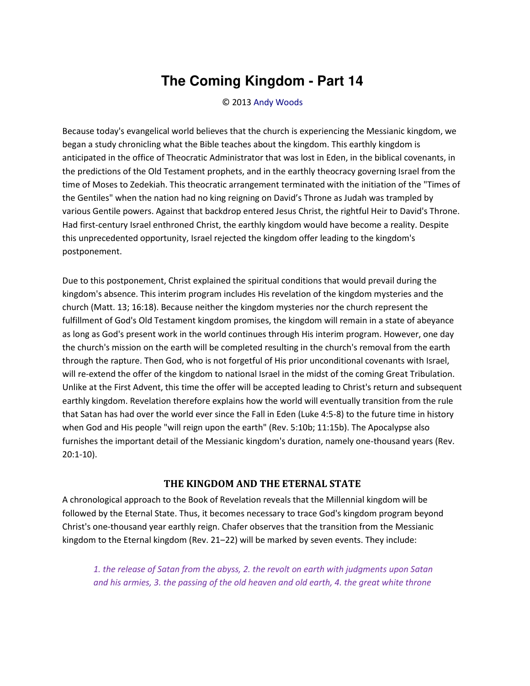## **The Coming Kingdom - Part 14**

© 2013 [Andy Woods](http://www.spiritandtruth.org/id/aw.htm)

Because today's evangelical world believes that the church is experiencing the Messianic kingdom, we began a study chronicling what the Bible teaches about the kingdom. This earthly kingdom is anticipated in the office of Theocratic Administrator that was lost in Eden, in the biblical covenants, in the predictions of the Old Testament prophets, and in the earthly theocracy governing Israel from the time of Moses to Zedekiah. This theocratic arrangement terminated with the initiation of the "Times of the Gentiles" when the nation had no king reigning on David's Throne as Judah was trampled by various Gentile powers. Against that backdrop entered Jesus Christ, the rightful Heir to David's Throne. Had first-century Israel enthroned Christ, the earthly kingdom would have become a reality. Despite this unprecedented opportunity, Israel rejected the kingdom offer leading to the kingdom's postponement.

Due to this postponement, Christ explained the spiritual conditions that would prevail during the kingdom's absence. This interim program includes His revelation of the kingdom mysteries and the church (Matt. 13; 16:18). Because neither the kingdom mysteries nor the church represent the fulfillment of God's Old Testament kingdom promises, the kingdom will remain in a state of abeyance as long as God's present work in the world continues through His interim program. However, one day the church's mission on the earth will be completed resulting in the church's removal from the earth through the rapture. Then God, who is not forgetful of His prior unconditional covenants with Israel, will re-extend the offer of the kingdom to national Israel in the midst of the coming Great Tribulation. Unlike at the First Advent, this time the offer will be accepted leading to Christ's return and subsequent earthly kingdom. Revelation therefore explains how the world will eventually transition from the rule that Satan has had over the world ever since the Fall in Eden (Luke 4:5-8) to the future time in history when God and His people "will reign upon the earth" (Rev. 5:10b; 11:15b). The Apocalypse also furnishes the important detail of the Messianic kingdom's duration, namely one-thousand years (Rev. 20:1-10).

## **THE KINGDOM AND THE ETERNAL STATE**

A chronological approach to the Book of Revelation reveals that the Millennial kingdom will be followed by the Eternal State. Thus, it becomes necessary to trace God's kingdom program beyond Christ's one-thousand year earthly reign. Chafer observes that the transition from the Messianic kingdom to the Eternal kingdom (Rev. 21-22) will be marked by seven events. They include:

*1. the release of Satan from the abyss, 2. the revolt on earth with judgments upon Satan and his armies, 3. the passing of the old heaven and old earth, 4. the great white throne*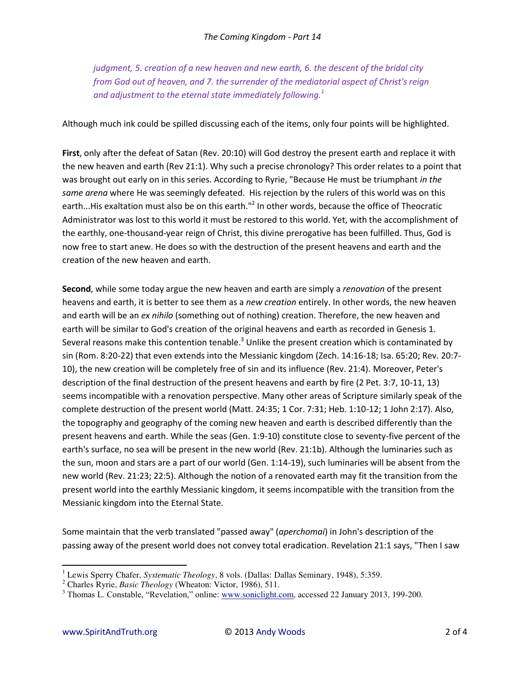*judgment, 5. creation of a new heaven and new earth, 6. the descent of the bridal city from God out of heaven, and 7. the surrender of the mediatorial aspect of Christ's reign and adjustment to the eternal state immediately following.<sup>1</sup>*

Although much ink could be spilled discussing each of the items, only four points will be highlighted.

**First**, only after the defeat of Satan (Rev. 20:10) will God destroy the present earth and replace it with the new heaven and earth (Rev 21:1). Why such a precise chronology? This order relates to a point that was brought out early on in this series. According to Ryrie, "Because He must be triumphant *in the same arena* where He was seemingly defeated. His rejection by the rulers of this world was on this earth...His exaltation must also be on this earth."<sup>2</sup> In other words, because the office of Theocratic Administrator was lost to this world it must be restored to this world. Yet, with the accomplishment of the earthly, one-thousand-year reign of Christ, this divine prerogative has been fulfilled. Thus, God is now free to start anew. He does so with the destruction of the present heavens and earth and the creation of the new heaven and earth.

**Second**, while some today argue the new heaven and earth are simply a *renovation* of the present heavens and earth, it is better to see them as a *new creation* entirely. In other words, the new heaven and earth will be an *ex nihilo* (something out of nothing) creation. Therefore, the new heaven and earth will be similar to God's creation of the original heavens and earth as recorded in Genesis 1. Several reasons make this contention tenable.<sup>3</sup> Unlike the present creation which is contaminated by sin (Rom. 8:20-22) that even extends into the Messianic kingdom (Zech. 14:16-18; Isa. 65:20; Rev. 20:7- 10), the new creation will be completely free of sin and its influence (Rev. 21:4). Moreover, Peter's description of the final destruction of the present heavens and earth by fire (2 Pet. 3:7, 10-11, 13) seems incompatible with a renovation perspective. Many other areas of Scripture similarly speak of the complete destruction of the present world (Matt. 24:35; 1 Cor. 7:31; Heb. 1:10-12; 1 John 2:17). Also, the topography and geography of the coming new heaven and earth is described differently than the present heavens and earth. While the seas (Gen. 1:9-10) constitute close to seventy-five percent of the earth's surface, no sea will be present in the new world (Rev. 21:1b). Although the luminaries such as the sun, moon and stars are a part of our world (Gen. 1:14-19), such luminaries will be absent from the new world (Rev. 21:23; 22:5). Although the notion of a renovated earth may fit the transition from the present world into the earthly Messianic kingdom, it seems incompatible with the transition from the Messianic kingdom into the Eternal State.

Some maintain that the verb translated "passed away" (*aperchomai*) in John's description of the passing away of the present world does not convey total eradication. Revelation 21:1 says, "Then I saw

 $\overline{a}$ 

<sup>&</sup>lt;sup>1</sup> Lewis Sperry Chafer, *Systematic Theology*, 8 vols. (Dallas: Dallas Seminary, 1948), 5:359.

<sup>2</sup> Charles Ryrie, *Basic Theology* (Wheaton: Victor, 1986), 511.

<sup>&</sup>lt;sup>3</sup> Thomas L. Constable, "Revelation," online: [www.soniclight.com,](http://www.soniclight.com/) accessed 22 January 2013, 199-200.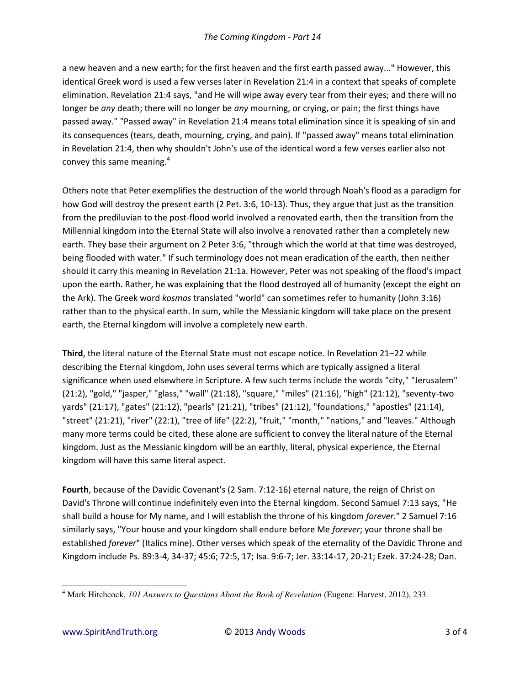a new heaven and a new earth; for the first heaven and the first earth passed away..." However, this identical Greek word is used a few verses later in Revelation 21:4 in a context that speaks of complete elimination. Revelation 21:4 says, "and He will wipe away every tear from their eyes; and there will no longer be *any* death; there will no longer be *any* mourning, or crying, or pain; the first things have passed away." "Passed away" in Revelation 21:4 means total elimination since it is speaking of sin and its consequences (tears, death, mourning, crying, and pain). If "passed away" means total elimination in Revelation 21:4, then why shouldn't John's use of the identical word a few verses earlier also not convey this same meaning.<sup>4</sup>

Others note that Peter exemplifies the destruction of the world through Noah's flood as a paradigm for how God will destroy the present earth (2 Pet. 3:6, 10-13). Thus, they argue that just as the transition from the prediluvian to the post-flood world involved a renovated earth, then the transition from the Millennial kingdom into the Eternal State will also involve a renovated rather than a completely new earth. They base their argument on 2 Peter 3:6, "through which the world at that time was destroyed, being flooded with water." If such terminology does not mean eradication of the earth, then neither should it carry this meaning in Revelation 21:1a. However, Peter was not speaking of the flood's impact upon the earth. Rather, he was explaining that the flood destroyed all of humanity (except the eight on the Ark). The Greek word *kosmos* translated "world" can sometimes refer to humanity (John 3:16) rather than to the physical earth. In sum, while the Messianic kingdom will take place on the present earth, the Eternal kingdom will involve a completely new earth.

**Third**, the literal nature of the Eternal State must not escape notice. In Revelation 21-22 while describing the Eternal kingdom, John uses several terms which are typically assigned a literal significance when used elsewhere in Scripture. A few such terms include the words "city," "Jerusalem" (21:2), "gold," "jasper," "glass," "wall" (21:18), "square," "miles" (21:16), "high" (21:12), "seventy-two yards" (21:17), "gates" (21:12), "pearls" (21:21), "tribes" (21:12), "foundations," "apostles" (21:14), "street" (21:21), "river" (22:1), "tree of life" (22:2), "fruit," "month," "nations," and "leaves." Although many more terms could be cited, these alone are sufficient to convey the literal nature of the Eternal kingdom. Just as the Messianic kingdom will be an earthly, literal, physical experience, the Eternal kingdom will have this same literal aspect.

**Fourth**, because of the Davidic Covenant's (2 Sam. 7:12-16) eternal nature, the reign of Christ on David's Throne will continue indefinitely even into the Eternal kingdom. Second Samuel 7:13 says, "He shall build a house for My name, and I will establish the throne of his kingdom *forever*." 2 Samuel 7:16 similarly says, "Your house and your kingdom shall endure before Me *forever*; your throne shall be established *forever*" (Italics mine). Other verses which speak of the eternality of the Davidic Throne and Kingdom include Ps. 89:3-4, 34-37; 45:6; 72:5, 17; Isa. 9:6-7; Jer. 33:14-17, 20-21; Ezek. 37:24-28; Dan.

 $\overline{a}$ 

<sup>4</sup> Mark Hitchcock, *101 Answers to Questions About the Book of Revelation* (Eugene: Harvest, 2012), 233.